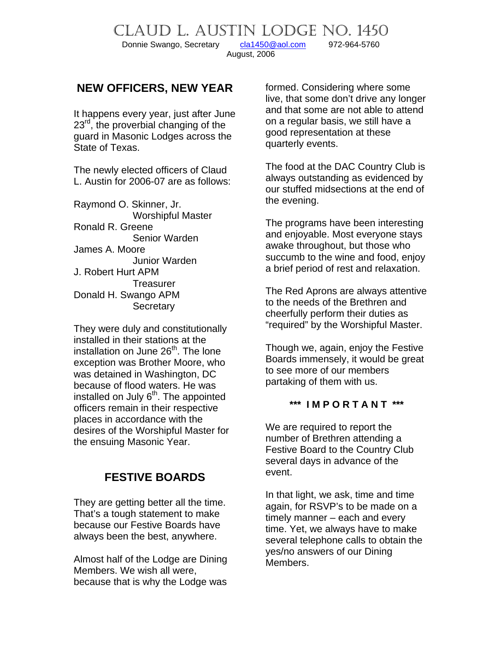Donnie Swango, Secretary [cla1450@aol.com](mailto:cla1450@aol.com) 972-964-5760 August, 2006

CLAUD L. AUSTIN LODGE NO. 1450

## **NEW OFFICERS, NEW YEAR**

It happens every year, just after June 23<sup>rd</sup>, the proverbial changing of the guard in Masonic Lodges across the State of Texas.

The newly elected officers of Claud L. Austin for 2006-07 are as follows:

Raymond O. Skinner, Jr. Worshipful Master Ronald R. Greene Senior Warden James A. Moore Junior Warden J. Robert Hurt APM Treasurer Donald H. Swango APM **Secretary** 

They were duly and constitutionally installed in their stations at the installation on June  $26<sup>th</sup>$ . The lone exception was Brother Moore, who was detained in Washington, DC because of flood waters. He was installed on July  $6<sup>th</sup>$ . The appointed officers remain in their respective places in accordance with the desires of the Worshipful Master for the ensuing Masonic Year.

# **FESTIVE BOARDS**

They are getting better all the time. That's a tough statement to make because our Festive Boards have always been the best, anywhere.

Almost half of the Lodge are Dining Members. We wish all were, because that is why the Lodge was formed. Considering where some live, that some don't drive any longer and that some are not able to attend on a regular basis, we still have a good representation at these quarterly events.

The food at the DAC Country Club is always outstanding as evidenced by our stuffed midsections at the end of the evening.

The programs have been interesting and enjoyable. Most everyone stays awake throughout, but those who succumb to the wine and food, enjoy a brief period of rest and relaxation.

The Red Aprons are always attentive to the needs of the Brethren and cheerfully perform their duties as "required" by the Worshipful Master.

Though we, again, enjoy the Festive Boards immensely, it would be great to see more of our members partaking of them with us.

#### **\*\*\* I M P O R T A N T \*\*\***

We are required to report the number of Brethren attending a Festive Board to the Country Club several days in advance of the event.

In that light, we ask, time and time again, for RSVP's to be made on a timely manner – each and every time. Yet, we always have to make several telephone calls to obtain the yes/no answers of our Dining Members.